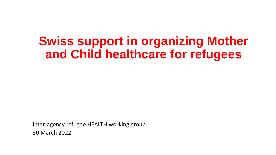## **Swiss support in organizing Mother and Child healthcare for refugees**

Inter-agency refugee HEALTH working group 30 March 2022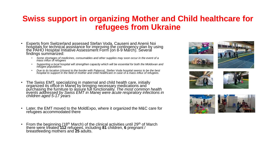## **Swiss support in organizing Mother and Child healthcare for refugees from Ukraine**

- Experts from Switzerland assessed Stefan Voda, Causeni and Anenii Noi hospitals for technical assistance for improving the contingency plan by using the PAHO Hospital Initiative Assessment Form (on 8-9 March). Several findings summarized:
	- *Some shortages of medicines, consumables and other supplies may soon occur in the event of a mass influx of refugees*
	- *Supporting a local hospital will strengthen capacity which will be essential for both the Moldovan and refugee populations*
	- *Due to its location (closest to the border with Palanca), Stefan Voda hospital seems to be the best hospital to support in the field of mother and child healthcare in case of a mass influx of refugees.*
- The Swiss EMT, specializing in maternal and child health care, initially organized its office in Manej by bringing necessary medications and purchasing the furniture to assure full functionality. *The most common health events addressed by Swiss EMT in Manej were acute respiratory infections in children aged 5-17 years*
- Later, the EMT moved to the MoldExpo, where it organized the M&C care for refugees accommodated there
- From the beginning  $(18<sup>th</sup> March)$  of the clinical activities until 29<sup>th</sup> of March there were treated **112** refugees, including **81** children, **6** pregnant / breastfeeding mothers and **25** adults.









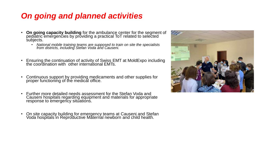## *On going and planned activities*

- **On going capacity building** for the ambulance center for the segment of pediatric emergencies by providing a practical ToT related to selected subjects.
	- *National mobile training teams are supposed to train on site the specialists from districts, including Stefan Voda and Causeni.*
- Ensuring the continuation of activity of Swiss EMT at MoldExpo including the coordination with other international EMTs.
- Continuous support by providing medicaments and other supplies for proper functioning of the medical office.
- Further more detailed needs assessment for the Stefan Voda and Causeni hospitals regarding equipment and materials for appropriate response to emergency situations.
- On site capacity building for emergency teams at Causeni and Stefan Voda hospitals in Reproductive Măternal newborn and child health.